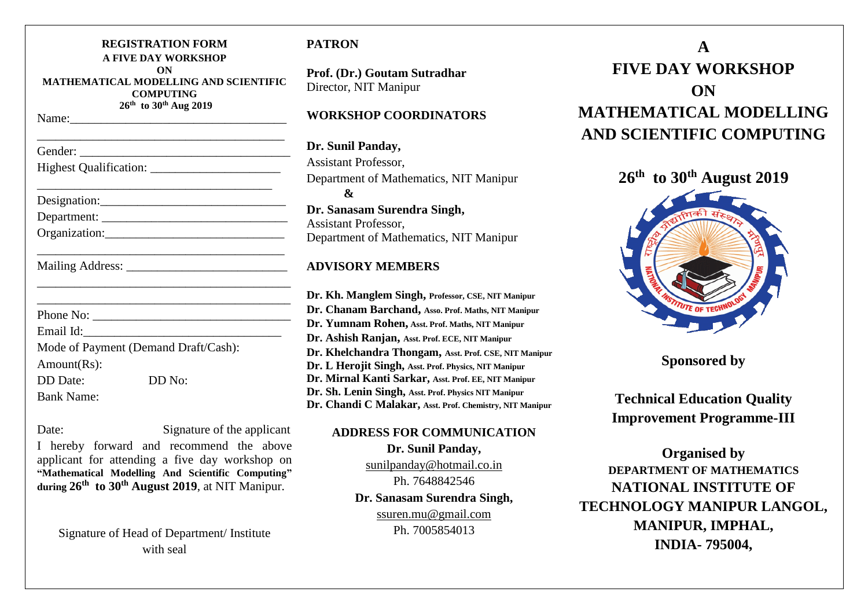| <b>REGISTRATION FORM</b><br><b>A FIVE DAY WORKSHOP</b>                 |  |
|------------------------------------------------------------------------|--|
| ON<br><b>MATHEMATICAL MODELLING AND SCIENTIFIC</b><br><b>COMPUTING</b> |  |
| 26th to 30th Aug 2019                                                  |  |
|                                                                        |  |
|                                                                        |  |
|                                                                        |  |
|                                                                        |  |
|                                                                        |  |
|                                                                        |  |
|                                                                        |  |
|                                                                        |  |
| Email Id:                                                              |  |
| Mode of Payment (Demand Draft/Cash):                                   |  |
| Amount(Rs):                                                            |  |
| <b>DD</b> Date:<br>DD No:                                              |  |
| <b>Bank Name:</b>                                                      |  |

| e. |  |
|----|--|

Signature of the applicant

I hereby forward and recommend the above applicant for attending a five day workshop on **"Mathematical Modelling And Scientific Computing" during 26th to 30th August 2019**, at NIT Manipur.

Signature of Head of Department/ Institute with seal

# **PATRON**

**Prof. (Dr.) Goutam Sutradhar** Director, NIT Manipur

# **WORKSHOP COORDINATORS**

**Dr. Sunil Panday,** Assistant Professor, Department of Mathematics, NIT Manipur **& Dr. Sanasam Surendra Singh,** Assistant Professor, Department of Mathematics, NIT Manipur

# **ADVISORY MEMBERS**

**Dr. Kh. Manglem Singh, Professor, CSE, NIT Manipur Dr. Chanam Barchand, Asso. Prof. Maths, NIT Manipur Dr. Yumnam Rohen, Asst. Prof. Maths, NIT Manipur Dr. Ashish Ranjan, Asst. Prof. ECE, NIT Manipur Dr. Khelchandra Thongam, Asst. Prof. CSE, NIT Manipur Dr. L Herojit Singh, Asst. Prof. Physics, NIT Manipur Dr. Mirnal Kanti Sarkar, Asst. Prof. EE, NIT Manipur Dr. Sh. Lenin Singh, Asst. Prof. Physics NIT Manipur Dr. Chandi C Malakar, Asst. Prof. Chemistry, NIT Manipur**

**ADDRESS FOR COMMUNICATION**

**Dr. Sunil Panday,** [sunilpanday@hotmail.co.in](mailto:sunilpanday@hotmail.co.in) Ph. 7648842546 **Dr. Sanasam Surendra Singh,** ssuren.mu@gmail.com Ph. 7005854013

# **A FIVE DAY WORKSHOP ON MATHEMATICAL MODELLING AND SCIENTIFIC COMPUTING**



**Sponsored by** 

**Technical Education Quality Improvement Programme-III**

**Organised by DEPARTMENT OF MATHEMATICS NATIONAL INSTITUTE OF TECHNOLOGY MANIPUR LANGOL, MANIPUR, IMPHAL, INDIA- 795004,**